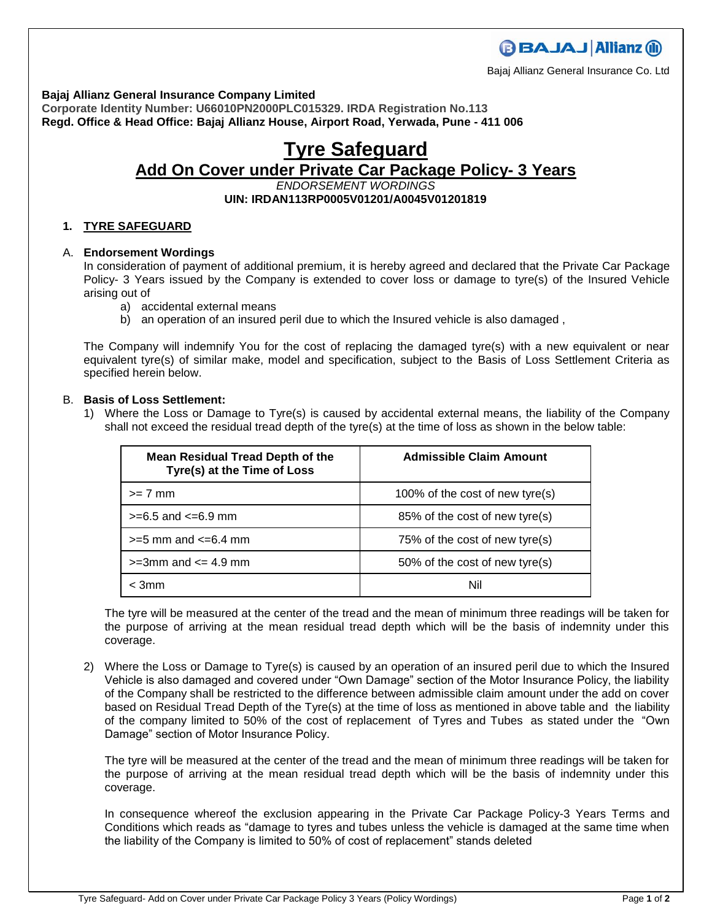**Bajaj Allianz General Insurance Company Limited**

**Corporate Identity Number: U66010PN2000PLC015329. IRDA Registration No.113 Regd. Office & Head Office: Bajaj Allianz House, Airport Road, Yerwada, Pune - 411 006**

# **Tyre Safeguard Add On Cover under Private Car Package Policy- 3 Years**  *ENDORSEMENT WORDINGS* **UIN: IRDAN113RP0005V01201/A0045V01201819**

# **1. TYRE SAFEGUARD**

# A. **Endorsement Wordings**

In consideration of payment of additional premium, it is hereby agreed and declared that the Private Car Package Policy- 3 Years issued by the Company is extended to cover loss or damage to tyre(s) of the Insured Vehicle arising out of

- a) accidental external means
- b) an operation of an insured peril due to which the Insured vehicle is also damaged ,

The Company will indemnify You for the cost of replacing the damaged tyre(s) with a new equivalent or near equivalent tyre(s) of similar make, model and specification, subject to the Basis of Loss Settlement Criteria as specified herein below.

# B. **Basis of Loss Settlement:**

1) Where the Loss or Damage to Tyre(s) is caused by accidental external means, the liability of the Company shall not exceed the residual tread depth of the tyre(s) at the time of loss as shown in the below table:

| <b>Mean Residual Tread Depth of the</b><br>Tyre(s) at the Time of Loss | <b>Admissible Claim Amount</b>  |
|------------------------------------------------------------------------|---------------------------------|
| $>= 7$ mm                                                              | 100% of the cost of new tyre(s) |
| $>= 6.5$ and $<= 6.9$ mm                                               | 85% of the cost of new tyre(s)  |
| $>=$ 5 mm and $<=$ 6.4 mm                                              | 75% of the cost of new tyre(s)  |
| $>=3$ mm and $<=$ 4.9 mm                                               | 50% of the cost of new tyre(s)  |
| $<$ 3mm                                                                | Nil                             |

The tyre will be measured at the center of the tread and the mean of minimum three readings will be taken for the purpose of arriving at the mean residual tread depth which will be the basis of indemnity under this coverage.

2) Where the Loss or Damage to Tyre(s) is caused by an operation of an insured peril due to which the Insured Vehicle is also damaged and covered under "Own Damage" section of the Motor Insurance Policy, the liability of the Company shall be restricted to the difference between admissible claim amount under the add on cover based on Residual Tread Depth of the Tyre(s) at the time of loss as mentioned in above table and the liability of the company limited to 50% of the cost of replacement of Tyres and Tubes as stated under the "Own Damage" section of Motor Insurance Policy.

The tyre will be measured at the center of the tread and the mean of minimum three readings will be taken for the purpose of arriving at the mean residual tread depth which will be the basis of indemnity under this coverage.

In consequence whereof the exclusion appearing in the Private Car Package Policy-3 Years Terms and Conditions which reads as "damage to tyres and tubes unless the vehicle is damaged at the same time when the liability of the Company is limited to 50% of cost of replacement" stands deleted



Bajaj Allianz General Insurance Co. Ltd